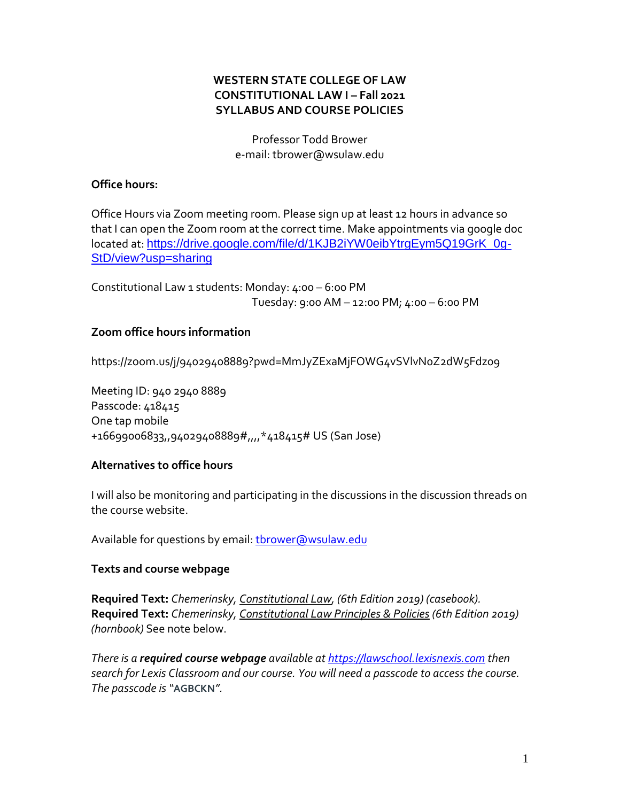# **WESTERN STATE COLLEGE OF LAW CONSTITUTIONAL LAW I – Fall 2021 SYLLABUS AND COURSE POLICIES**

Professor Todd Brower e-mail: tbrower@wsulaw.edu

### **Office hours:**

Office Hours via Zoom meeting room. Please sign up at least 12 hours in advance so that I can open the Zoom room at the correct time. Make appointments via google doc located at: [https://drive.google.com/file/d/1KJB2iYW0eibYtrgEym5Q19GrK\\_0g-](https://drive.google.com/file/d/1KJB2iYW0eibYtrgEym5Q19GrK_0g-StD/view?usp=sharing)[StD/view?usp=sharing](https://drive.google.com/file/d/1KJB2iYW0eibYtrgEym5Q19GrK_0g-StD/view?usp=sharing)

Constitutional Law 1 students: Monday: 4:00 – 6:00 PM Tuesday: 9:00 AM – 12:00 PM; 4:00 – 6:00 PM

# **Zoom office hours information**

https://zoom.us/j/94029408889?pwd=MmJyZExaMjFOWG4vSVlvN0Z2dW5Fdz09

Meeting ID: 940 2940 8889 Passcode: 418415 One tap mobile +16699006833,,94029408889#,,,,\*418415# US (San Jose)

### **Alternatives to office hours**

I will also be monitoring and participating in the discussions in the discussion threads on the course website.

Available for questions by email: thrower@wsulaw.edu

### **Texts and course webpage**

**Required Text:** *Chemerinsky, Constitutional Law, (6th Edition 2019) (casebook).* **Required Text:** *Chemerinsky, Constitutional Law Principles & Policies (6th Edition 2019) (hornbook)* See note below.

*There is a required course webpage available at [https://lawschool.lexisnexis.com](https://lawschool.lexisnexis.com/) then search for Lexis Classroom and our course. You will need a passcode to access the course. The passcode is "***AGBCKN***".*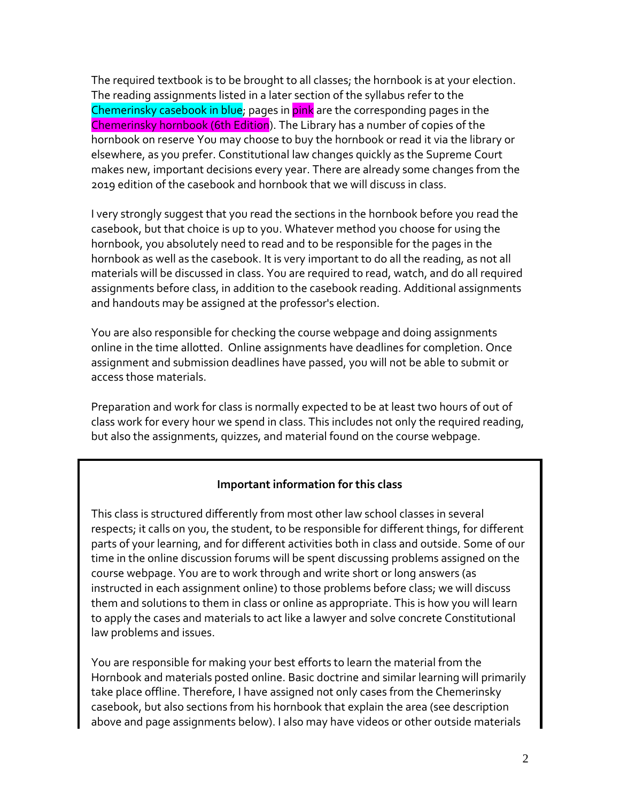The required textbook is to be brought to all classes; the hornbook is at your election. The reading assignments listed in a later section of the syllabus refer to the Chemerinsky casebook in blue; pages in pink are the corresponding pages in the Chemerinsky hornbook (6th Edition). The Library has a number of copies of the hornbook on reserve You may choose to buy the hornbook or read it via the library or elsewhere, as you prefer. Constitutional law changes quickly as the Supreme Court makes new, important decisions every year. There are already some changes from the 2019 edition of the casebook and hornbook that we will discuss in class.

I very strongly suggest that you read the sections in the hornbook before you read the casebook, but that choice is up to you. Whatever method you choose for using the hornbook, you absolutely need to read and to be responsible for the pages in the hornbook as well as the casebook. It is very important to do all the reading, as not all materials will be discussed in class. You are required to read, watch, and do all required assignments before class, in addition to the casebook reading. Additional assignments and handouts may be assigned at the professor's election.

You are also responsible for checking the course webpage and doing assignments online in the time allotted. Online assignments have deadlines for completion. Once assignment and submission deadlines have passed, you will not be able to submit or access those materials.

Preparation and work for class is normally expected to be at least two hours of out of class work for every hour we spend in class. This includes not only the required reading, but also the assignments, quizzes, and material found on the course webpage.

# **Important information for this class**

This class is structured differently from most other law school classes in several respects; it calls on you, the student, to be responsible for different things, for different parts of your learning, and for different activities both in class and outside. Some of our time in the online discussion forums will be spent discussing problems assigned on the course webpage. You are to work through and write short or long answers (as instructed in each assignment online) to those problems before class; we will discuss them and solutions to them in class or online as appropriate. This is how you will learn to apply the cases and materials to act like a lawyer and solve concrete Constitutional law problems and issues.

You are responsible for making your best efforts to learn the material from the Hornbook and materials posted online. Basic doctrine and similar learning will primarily take place offline. Therefore, I have assigned not only cases from the Chemerinsky casebook, but also sections from his hornbook that explain the area (see description above and page assignments below). I also may have videos or other outside materials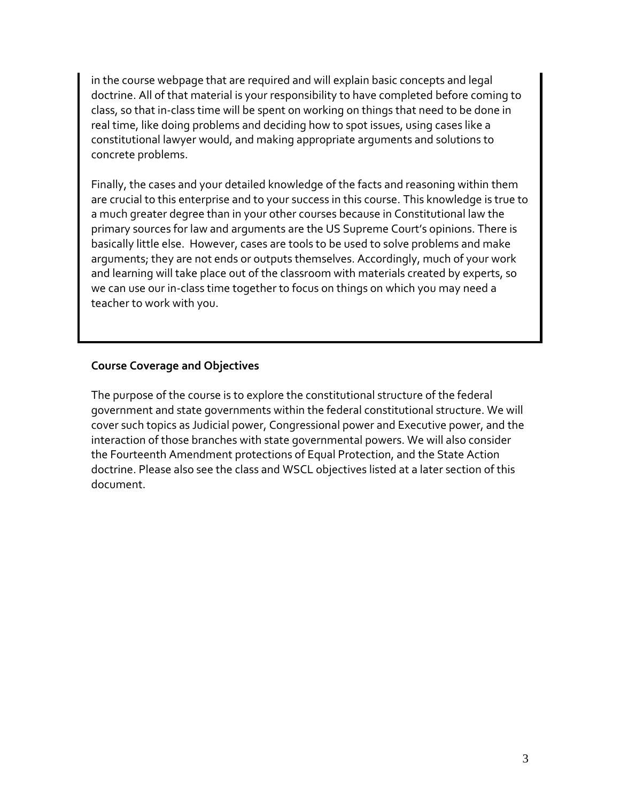in the course webpage that are required and will explain basic concepts and legal doctrine. All of that material is your responsibility to have completed before coming to class, so that in-class time will be spent on working on things that need to be done in real time, like doing problems and deciding how to spot issues, using cases like a constitutional lawyer would, and making appropriate arguments and solutions to concrete problems.

Finally, the cases and your detailed knowledge of the facts and reasoning within them are crucial to this enterprise and to your success in this course. This knowledge is true to a much greater degree than in your other courses because in Constitutional law the primary sources for law and arguments are the US Supreme Court's opinions. There is basically little else. However, cases are tools to be used to solve problems and make arguments; they are not ends or outputs themselves. Accordingly, much of your work and learning will take place out of the classroom with materials created by experts, so we can use our in-class time together to focus on things on which you may need a teacher to work with you.

# **Course Coverage and Objectives**

The purpose of the course is to explore the constitutional structure of the federal government and state governments within the federal constitutional structure. We will cover such topics as Judicial power, Congressional power and Executive power, and the interaction of those branches with state governmental powers. We will also consider the Fourteenth Amendment protections of Equal Protection, and the State Action doctrine. Please also see the class and WSCL objectives listed at a later section of this document.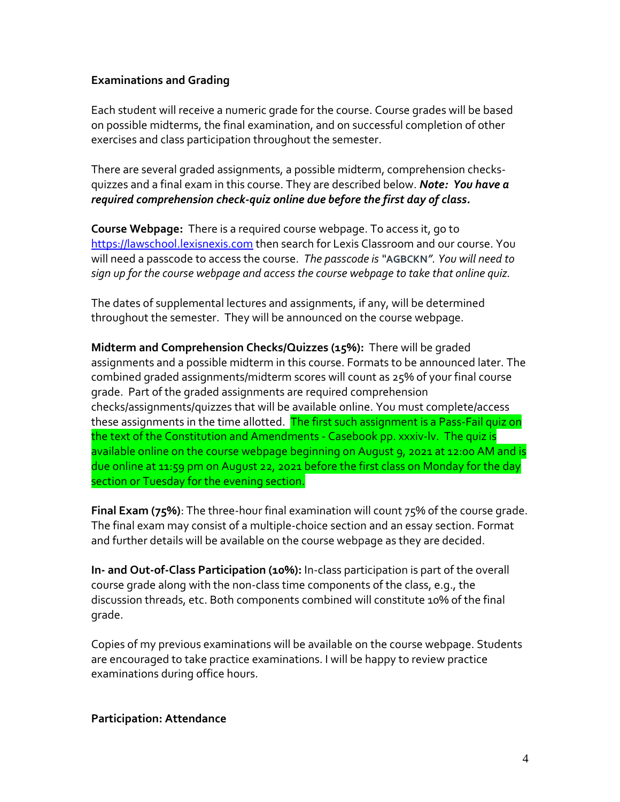### **Examinations and Grading**

Each student will receive a numeric grade for the course. Course grades will be based on possible midterms, the final examination, and on successful completion of other exercises and class participation throughout the semester.

There are several graded assignments, a possible midterm, comprehension checksquizzes and a final exam in this course. They are described below. *Note: You have a required comprehension check-quiz online due before the first day of class.*

**Course Webpage:** There is a required course webpage. To access it, go to [https://lawschool.lexisnexis.com](https://lawschool.lexisnexis.com/) then search for Lexis Classroom and our course. You will need a passcode to access the course. *The passcode is "***AGBCKN***". You will need to sign up for the course webpage and access the course webpage to take that online quiz.* 

The dates of supplemental lectures and assignments, if any, will be determined throughout the semester. They will be announced on the course webpage.

**Midterm and Comprehension Checks/Quizzes (15%):** There will be graded assignments and a possible midterm in this course. Formats to be announced later. The combined graded assignments/midterm scores will count as 25% of your final course grade. Part of the graded assignments are required comprehension checks/assignments/quizzes that will be available online. You must complete/access these assignments in the time allotted. The first such assignment is a Pass-Fail quiz on the text of the Constitution and Amendments - Casebook pp. xxxiv-lv. The quiz is available online on the course webpage beginning on August 9, 2021 at 12:00 AM and is due online at 11:59 pm on August 22, 2021 before the first class on Monday for the day section or Tuesday for the evening section.

**Final Exam (75%)**: The three-hour final examination will count 75% of the course grade. The final exam may consist of a multiple-choice section and an essay section. Format and further details will be available on the course webpage as they are decided.

**In- and Out-of-Class Participation (10%):** In-class participation is part of the overall course grade along with the non-class time components of the class, e.g., the discussion threads, etc. Both components combined will constitute 10% of the final grade.

Copies of my previous examinations will be available on the course webpage. Students are encouraged to take practice examinations. I will be happy to review practice examinations during office hours.

**Participation: Attendance**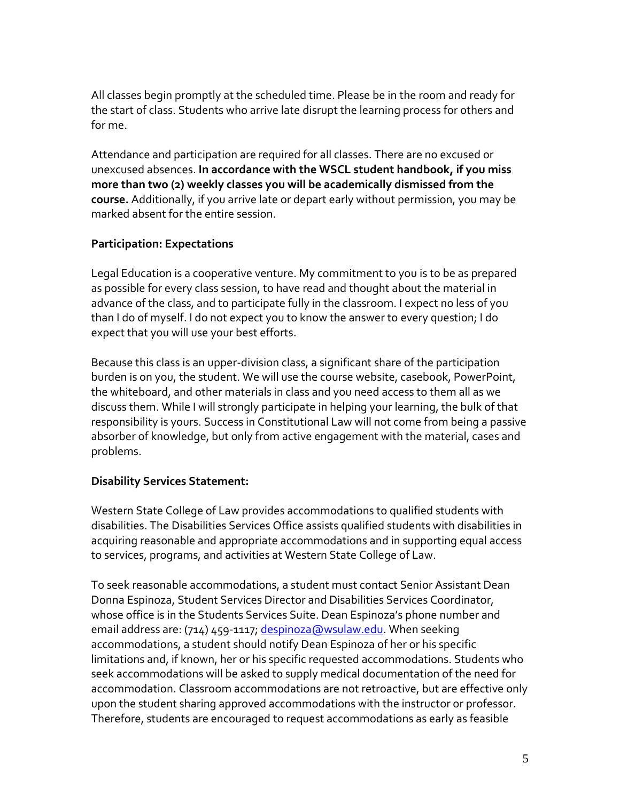All classes begin promptly at the scheduled time. Please be in the room and ready for the start of class. Students who arrive late disrupt the learning process for others and for me.

Attendance and participation are required for all classes. There are no excused or unexcused absences. **In accordance with the WSCL student handbook, if you miss more than two (2) weekly classes you will be academically dismissed from the course.** Additionally, if you arrive late or depart early without permission, you may be marked absent for the entire session.

# **Participation: Expectations**

Legal Education is a cooperative venture. My commitment to you is to be as prepared as possible for every class session, to have read and thought about the material in advance of the class, and to participate fully in the classroom. I expect no less of you than I do of myself. I do not expect you to know the answer to every question; I do expect that you will use your best efforts.

Because this class is an upper-division class, a significant share of the participation burden is on you, the student. We will use the course website, casebook, PowerPoint, the whiteboard, and other materials in class and you need access to them all as we discuss them. While I will strongly participate in helping your learning, the bulk of that responsibility is yours. Success in Constitutional Law will not come from being a passive absorber of knowledge, but only from active engagement with the material, cases and problems.

# **Disability Services Statement:**

Western State College of Law provides accommodations to qualified students with disabilities. The Disabilities Services Office assists qualified students with disabilities in acquiring reasonable and appropriate accommodations and in supporting equal access to services, programs, and activities at Western State College of Law.

To seek reasonable accommodations, a student must contact Senior Assistant Dean Donna Espinoza, Student Services Director and Disabilities Services Coordinator, whose office is in the Students Services Suite. Dean Espinoza's phone number and email address are: (714) 459-1117[; despinoza@wsulaw.edu.](mailto:despinoza@wsulaw.edu) When seeking accommodations, a student should notify Dean Espinoza of her or his specific limitations and, if known, her or his specific requested accommodations. Students who seek accommodations will be asked to supply medical documentation of the need for accommodation. Classroom accommodations are not retroactive, but are effective only upon the student sharing approved accommodations with the instructor or professor. Therefore, students are encouraged to request accommodations as early as feasible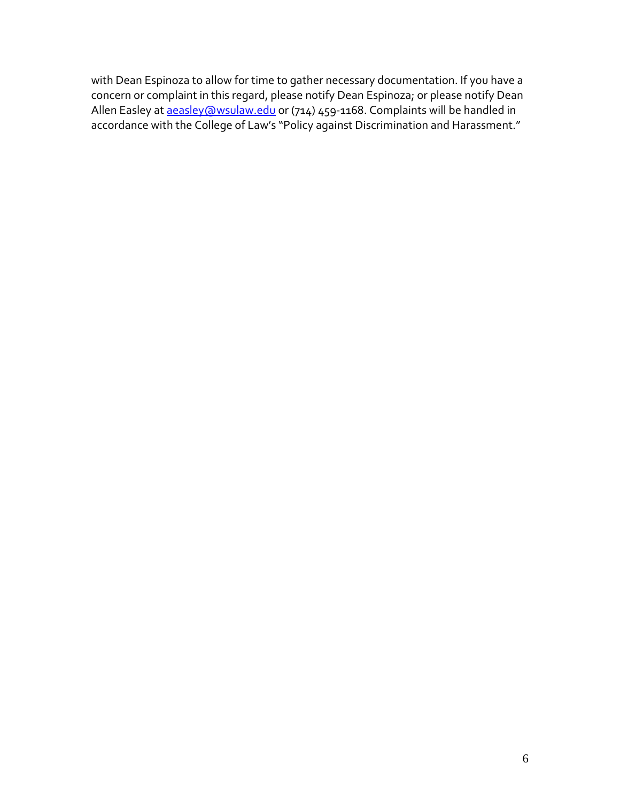with Dean Espinoza to allow for time to gather necessary documentation. If you have a concern or complaint in this regard, please notify Dean Espinoza; or please notify Dean Allen Easley at <u>aeasley@wsulaw.edu</u> or (714) 459-1168. Complaints will be handled in accordance with the College of Law's "Policy against Discrimination and Harassment."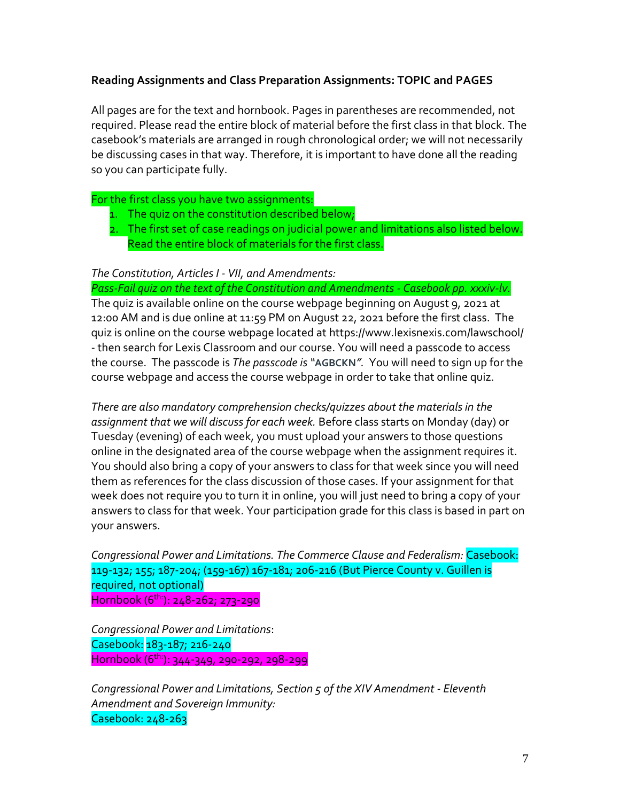# **Reading Assignments and Class Preparation Assignments: TOPIC and PAGES**

All pages are for the text and hornbook. Pages in parentheses are recommended, not required. Please read the entire block of material before the first class in that block. The casebook's materials are arranged in rough chronological order; we will not necessarily be discussing cases in that way. Therefore, it is important to have done all the reading so you can participate fully.

# For the first class you have two assignments:

- 1. The quiz on the constitution described below;
- 2. The first set of case readings on judicial power and limitations also listed below. Read the entire block of materials for the first class.

# *The Constitution, Articles I - VII, and Amendments:*

*Pass-Fail quiz on the text of the Constitution and Amendments - Casebook pp. xxxiv-lv.* The quiz is available online on the course webpage beginning on August 9, 2021 at 12:00 AM and is due online at 11:59 PM on August 22, 2021 before the first class. The quiz is online on the course webpage located at https://www.lexisnexis.com/lawschool/ - then search for Lexis Classroom and our course. You will need a passcode to access the course. The passcode is *The passcode is "***AGBCKN***".* You will need to sign up for the course webpage and access the course webpage in order to take that online quiz.

*There are also mandatory comprehension checks/quizzes about the materials in the assignment that we will discuss for each week.* Before class starts on Monday (day) or Tuesday (evening) of each week, you must upload your answers to those questions online in the designated area of the course webpage when the assignment requires it. You should also bring a copy of your answers to class for that week since you will need them as references for the class discussion of those cases. If your assignment for that week does not require you to turn it in online, you will just need to bring a copy of your answers to class for that week. Your participation grade for this class is based in part on your answers.

*Congressional Power and Limitations. The Commerce Clause and Federalism:* Casebook: 119-132; 155; 187-204; (159-167) 167-181; 206-216 (But Pierce County v. Guillen is required, not optional) Hornbook (6th: ): 248-262; 273-290

*Congressional Power and Limitations*: Casebook: 183-187; 216-240 Hornbook (6th: ): 344-349, 290-292, 298-299

*Congressional Power and Limitations, Section 5 of the XIV Amendment - Eleventh Amendment and Sovereign Immunity:* Casebook: 248-263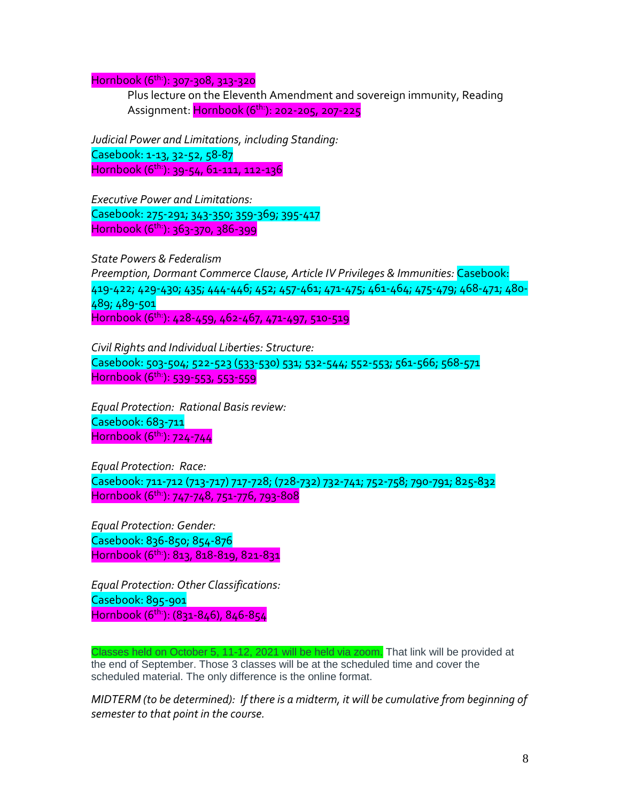Hornbook (6th: ): 307-308, 313-320

Plus lecture on the Eleventh Amendment and sovereign immunity, Reading Assignment: <mark>Hornbook (6<sup>th:</sup>): 202-205, 207-225</mark>

*Judicial Power and Limitations, including Standing:* Casebook: 1-13, 32-52, 58-87 Hornbook (6th: ): 39-54, 61-111, 112-136

*Executive Power and Limitations:* Casebook: 275-291; 343-350; 359-369; 395-417 Hornbook (6th: ): 363-370, 386-399

*State Powers & Federalism Preemption, Dormant Commerce Clause, Article IV Privileges & Immunities:* Casebook: 419-422; 429-430; 435; 444-446; 452; 457-461; 471-475; 461-464; 475-479; 468-471; 480- 489; 489-501 Hornbook (6th: ): 428-459, 462-467, 471-497, 510-519

*Civil Rights and Individual Liberties: Structure:* Casebook: 503-504; 522-523 (533-530) 531; 532-544; 552-553; 561-566; 568-571 Hornbook (6th: ): 539-553, 553-559

*Equal Protection: Rational Basis review:* Casebook: 683-711 Hornbook (6th: ): 724-744

*Equal Protection: Race:* Casebook: 711-712 (713-717) 717-728; (728-732) 732-741; 752-758; 790-791; 825-832 Hornbook (6th: ): 747-748, 751-776, 793-808

*Equal Protection: Gender:* Casebook: 836-850; 854-876 Hornbook (6th: ): 813, 818-819, 821-831

*Equal Protection: Other Classifications:* Casebook: 895-901 Hornbook (6 th:): (831-846), 846-854

Classes held on October 5, 11-12, 2021 will be held via zoom. That link will be provided at the end of September. Those 3 classes will be at the scheduled time and cover the scheduled material. The only difference is the online format.

*MIDTERM (to be determined): If there is a midterm, it will be cumulative from beginning of semester to that point in the course.*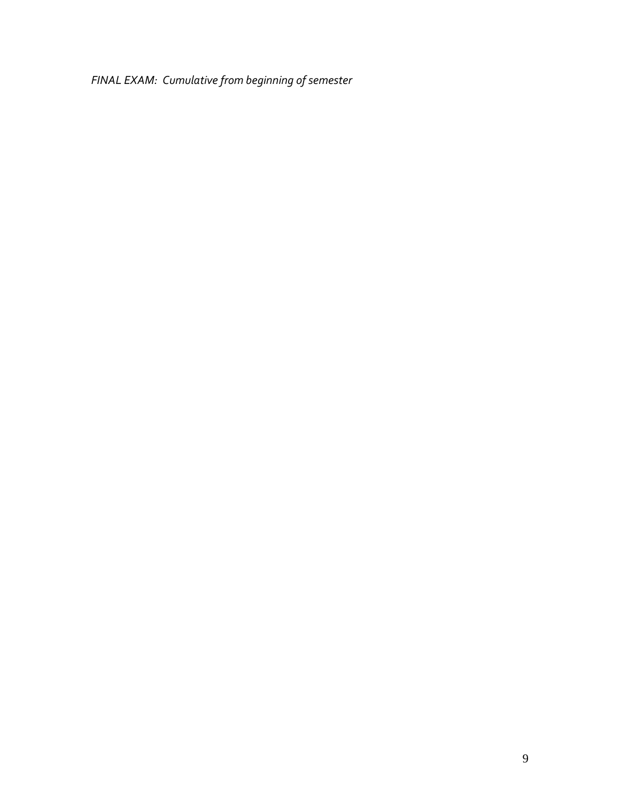*FINAL EXAM: Cumulative from beginning of semester*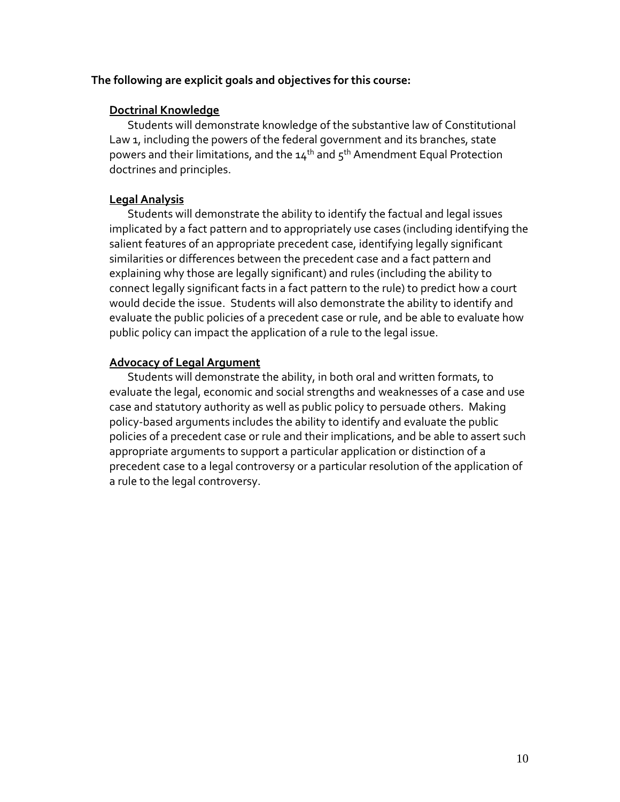### **The following are explicit goals and objectives for this course:**

### **Doctrinal Knowledge**

Students will demonstrate knowledge of the substantive law of Constitutional Law 1, including the powers of the federal government and its branches, state powers and their limitations, and the  $14<sup>th</sup>$  and  $5<sup>th</sup>$  Amendment Equal Protection doctrines and principles.

### **Legal Analysis**

Students will demonstrate the ability to identify the factual and legal issues implicated by a fact pattern and to appropriately use cases (including identifying the salient features of an appropriate precedent case, identifying legally significant similarities or differences between the precedent case and a fact pattern and explaining why those are legally significant) and rules (including the ability to connect legally significant facts in a fact pattern to the rule) to predict how a court would decide the issue. Students will also demonstrate the ability to identify and evaluate the public policies of a precedent case or rule, and be able to evaluate how public policy can impact the application of a rule to the legal issue.

# **Advocacy of Legal Argument**

Students will demonstrate the ability, in both oral and written formats, to evaluate the legal, economic and social strengths and weaknesses of a case and use case and statutory authority as well as public policy to persuade others. Making policy-based arguments includes the ability to identify and evaluate the public policies of a precedent case or rule and their implications, and be able to assert such appropriate arguments to support a particular application or distinction of a precedent case to a legal controversy or a particular resolution of the application of a rule to the legal controversy.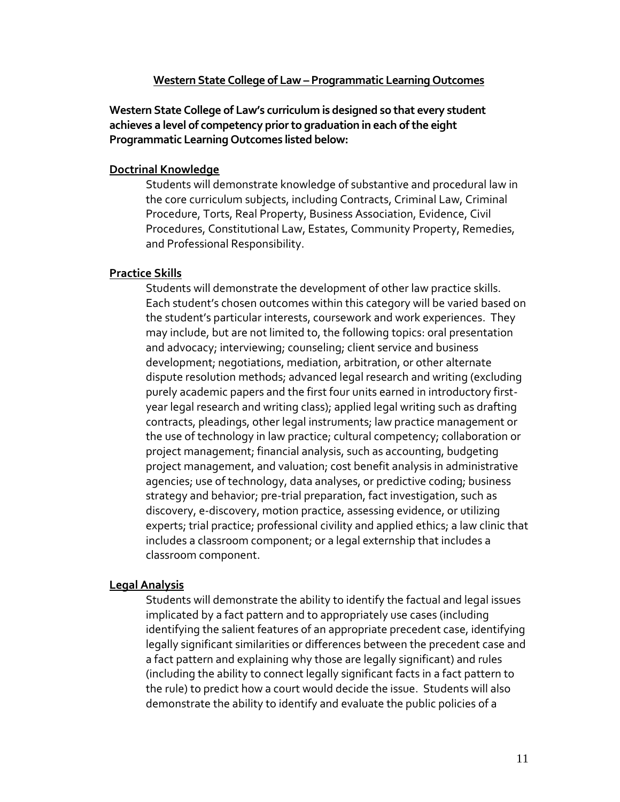#### **Western State College of Law – Programmatic Learning Outcomes**

**Western State College of Law's curriculum is designed so that every student achieves a level of competency prior to graduation in each of the eight Programmatic Learning Outcomes listed below:**

#### **Doctrinal Knowledge**

Students will demonstrate knowledge of substantive and procedural law in the core curriculum subjects, including Contracts, Criminal Law, Criminal Procedure, Torts, Real Property, Business Association, Evidence, Civil Procedures, Constitutional Law, Estates, Community Property, Remedies, and Professional Responsibility.

### **Practice Skills**

Students will demonstrate the development of other law practice skills. Each student's chosen outcomes within this category will be varied based on the student's particular interests, coursework and work experiences. They may include, but are not limited to, the following topics: oral presentation and advocacy; interviewing; counseling; client service and business development; negotiations, mediation, arbitration, or other alternate dispute resolution methods; advanced legal research and writing (excluding purely academic papers and the first four units earned in introductory firstyear legal research and writing class); applied legal writing such as drafting contracts, pleadings, other legal instruments; law practice management or the use of technology in law practice; cultural competency; collaboration or project management; financial analysis, such as accounting, budgeting project management, and valuation; cost benefit analysis in administrative agencies; use of technology, data analyses, or predictive coding; business strategy and behavior; pre-trial preparation, fact investigation, such as discovery, e-discovery, motion practice, assessing evidence, or utilizing experts; trial practice; professional civility and applied ethics; a law clinic that includes a classroom component; or a legal externship that includes a classroom component.

### **Legal Analysis**

Students will demonstrate the ability to identify the factual and legal issues implicated by a fact pattern and to appropriately use cases (including identifying the salient features of an appropriate precedent case, identifying legally significant similarities or differences between the precedent case and a fact pattern and explaining why those are legally significant) and rules (including the ability to connect legally significant facts in a fact pattern to the rule) to predict how a court would decide the issue. Students will also demonstrate the ability to identify and evaluate the public policies of a